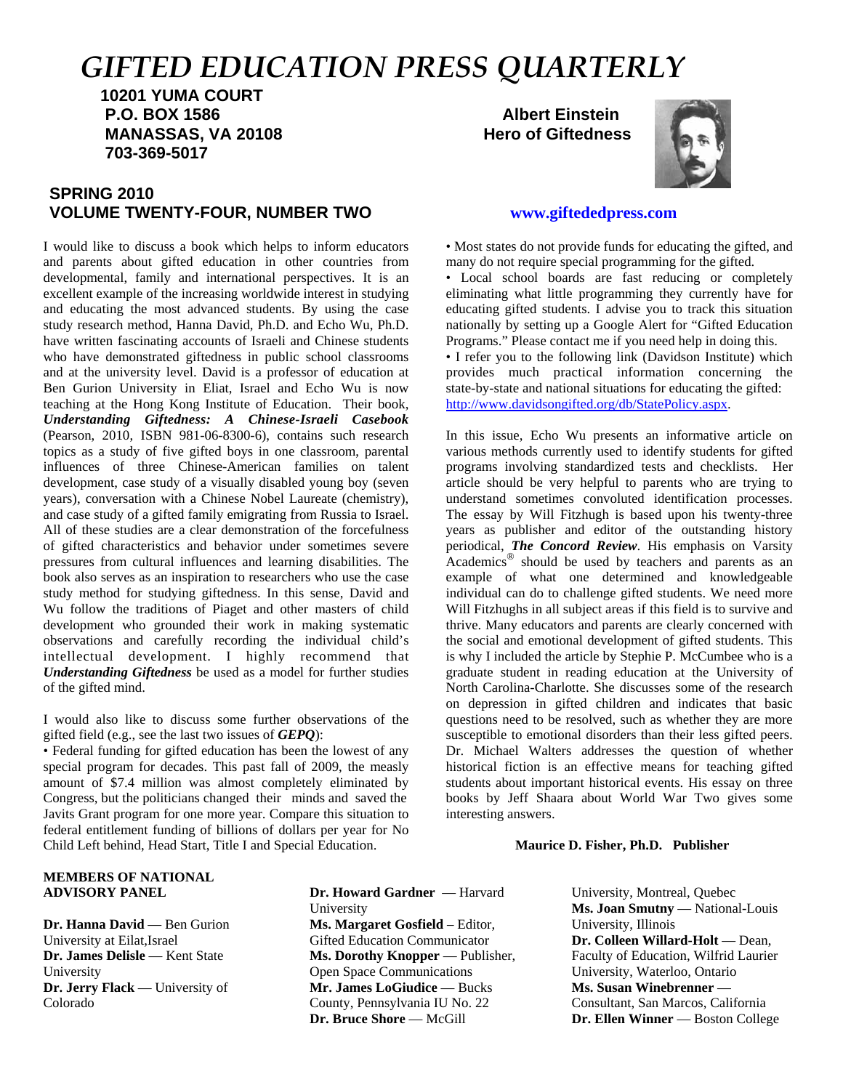# *GIFTED EDUCATION PRESS QUARTERLY*

 **10201 YUMA COURT P.O. BOX 1586 Albert Einstein MANASSAS, VA 20108 Hero of Giftedness 703-369-5017**

# **SPRING 2010 VOLUME TWENTY-FOUR, NUMBER TWO www.giftededpress.com**

I would like to discuss a book which helps to inform educators and parents about gifted education in other countries from developmental, family and international perspectives. It is an excellent example of the increasing worldwide interest in studying and educating the most advanced students. By using the case study research method, Hanna David, Ph.D. and Echo Wu, Ph.D. have written fascinating accounts of Israeli and Chinese students who have demonstrated giftedness in public school classrooms and at the university level. David is a professor of education at Ben Gurion University in Eliat, Israel and Echo Wu is now teaching at the Hong Kong Institute of Education. Their book, *Understanding Giftedness: A Chinese-Israeli Casebook* (Pearson, 2010, ISBN 981-06-8300-6), contains such research topics as a study of five gifted boys in one classroom, parental influences of three Chinese-American families on talent development, case study of a visually disabled young boy (seven years), conversation with a Chinese Nobel Laureate (chemistry), and case study of a gifted family emigrating from Russia to Israel. All of these studies are a clear demonstration of the forcefulness of gifted characteristics and behavior under sometimes severe pressures from cultural influences and learning disabilities. The book also serves as an inspiration to researchers who use the case study method for studying giftedness. In this sense, David and Wu follow the traditions of Piaget and other masters of child development who grounded their work in making systematic observations and carefully recording the individual child's intellectual development. I highly recommend that *Understanding Giftedness* be used as a model for further studies of the gifted mind.

I would also like to discuss some further observations of the gifted field (e.g., see the last two issues of *GEPQ*):

• Federal funding for gifted education has been the lowest of any special program for decades. This past fall of 2009, the measly amount of \$7.4 million was almost completely eliminated by Congress, but the politicians changed their minds and saved the Javits Grant program for one more year. Compare this situation to federal entitlement funding of billions of dollars per year for No Child Left behind, Head Start, Title I and Special Education.



• Most states do not provide funds for educating the gifted, and many do not require special programming for the gifted.

• Local school boards are fast reducing or completely eliminating what little programming they currently have for educating gifted students. I advise you to track this situation nationally by setting up a Google Alert for "Gifted Education Programs." Please contact me if you need help in doing this.

• I refer you to the following link (Davidson Institute) which provides much practical information concerning the state-by-state and national situations for educating the gifted: http://www.davidsongifted.org/db/StatePolicy.aspx.

In this issue, Echo Wu presents an informative article on various methods currently used to identify students for gifted programs involving standardized tests and checklists. Her article should be very helpful to parents who are trying to understand sometimes convoluted identification processes. The essay by Will Fitzhugh is based upon his twenty-three years as publisher and editor of the outstanding history periodical, *The Concord Review*. His emphasis on Varsity Academics<sup>®</sup> should be used by teachers and parents as an example of what one determined and knowledgeable individual can do to challenge gifted students. We need more Will Fitzhughs in all subject areas if this field is to survive and thrive. Many educators and parents are clearly concerned with the social and emotional development of gifted students. This is why I included the article by Stephie P. McCumbee who is a graduate student in reading education at the University of North Carolina-Charlotte. She discusses some of the research on depression in gifted children and indicates that basic questions need to be resolved, such as whether they are more susceptible to emotional disorders than their less gifted peers. Dr. Michael Walters addresses the question of whether historical fiction is an effective means for teaching gifted students about important historical events. His essay on three books by Jeff Shaara about World War Two gives some interesting answers.

#### **Maurice D. Fisher, Ph.D. Publisher**

#### **MEMBERS OF NATIONAL ADVISORY PANEL**

**Dr. Hanna David** — Ben Gurion University at Eilat,Israel **Dr. James Delisle** — Kent State University **Dr. Jerry Flack** — University of Colorado

**Dr. Howard Gardner** — Harvard University **Ms. Margaret Gosfield** – Editor, Gifted Education Communicator **Ms. Dorothy Knopper** — Publisher, Open Space Communications **Mr. James LoGiudice** — Bucks County, Pennsylvania IU No. 22 **Dr. Bruce Shore** — McGill

University, Montreal, Quebec **Ms. Joan Smutny** — National-Louis University, Illinois **Dr. Colleen Willard-Holt** — Dean, Faculty of Education, Wilfrid Laurier University, Waterloo, Ontario **Ms. Susan Winebrenner** — Consultant, San Marcos, California **Dr. Ellen Winner** — Boston College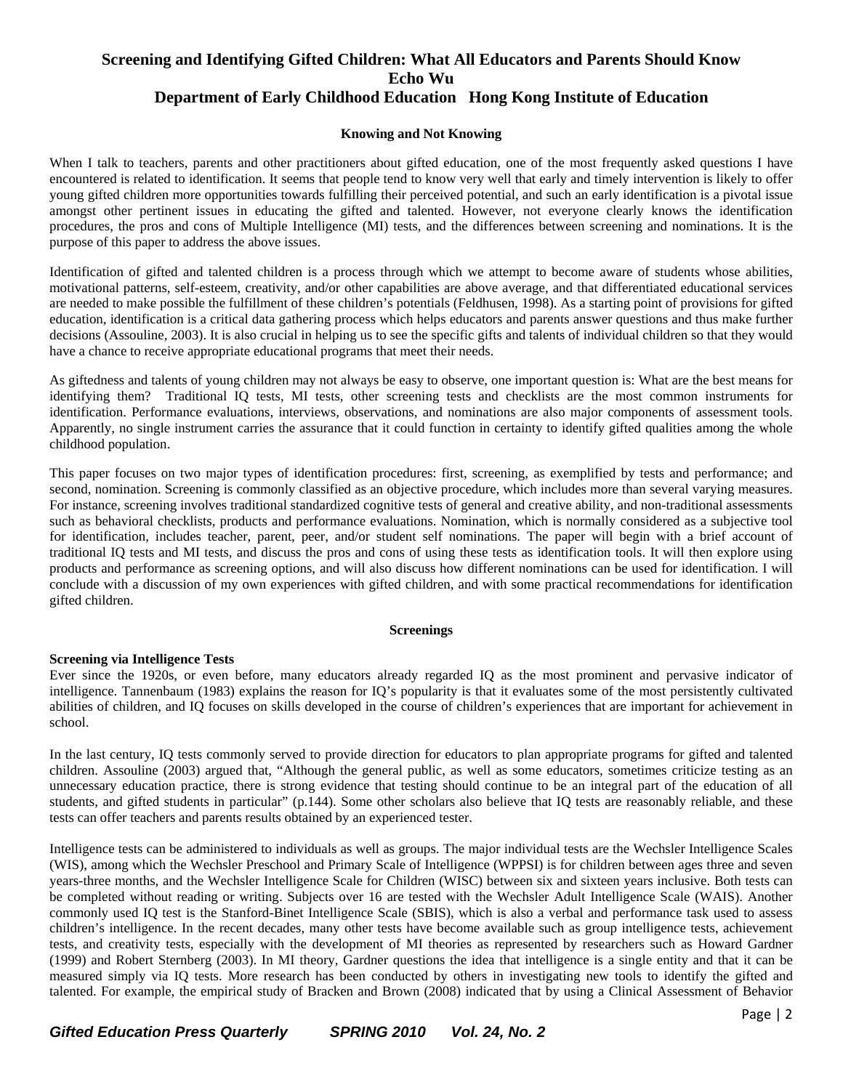# **Screening and Identifying Gifted Children: What All Educators and Parents Should Know Echo Wu Department of Early Childhood Education Hong Kong Institute of Education**

#### **Knowing and Not Knowing**

When I talk to teachers, parents and other practitioners about gifted education, one of the most frequently asked questions I have encountered is related to identification. It seems that people tend to know very well that early and timely intervention is likely to offer young gifted children more opportunities towards fulfilling their perceived potential, and such an early identification is a pivotal issue amongst other pertinent issues in educating the gifted and talented. However, not everyone clearly knows the identification procedures, the pros and cons of Multiple Intelligence (MI) tests, and the differences between screening and nominations. It is the purpose of this paper to address the above issues.

Identification of gifted and talented children is a process through which we attempt to become aware of students whose abilities, motivational patterns, self-esteem, creativity, and/or other capabilities are above average, and that differentiated educational services are needed to make possible the fulfillment of these children's potentials (Feldhusen, 1998). As a starting point of provisions for gifted education, identification is a critical data gathering process which helps educators and parents answer questions and thus make further decisions (Assouline, 2003). It is also crucial in helping us to see the specific gifts and talents of individual children so that they would have a chance to receive appropriate educational programs that meet their needs.

As giftedness and talents of young children may not always be easy to observe, one important question is: What are the best means for identifying them? Traditional IQ tests, MI tests, other screening tests and checklists are the most common instruments for identification. Performance evaluations, interviews, observations, and nominations are also major components of assessment tools. Apparently, no single instrument carries the assurance that it could function in certainty to identify gifted qualities among the whole childhood population.

This paper focuses on two major types of identification procedures: first, screening, as exemplified by tests and performance; and second, nomination. Screening is commonly classified as an objective procedure, which includes more than several varying measures. For instance, screening involves traditional standardized cognitive tests of general and creative ability, and non-traditional assessments such as behavioral checklists, products and performance evaluations. Nomination, which is normally considered as a subjective tool for identification, includes teacher, parent, peer, and/or student self nominations. The paper will begin with a brief account of traditional IQ tests and MI tests, and discuss the pros and cons of using these tests as identification tools. It will then explore using products and performance as screening options, and will also discuss how different nominations can be used for identification. I will conclude with a discussion of my own experiences with gifted children, and with some practical recommendations for identification gifted children.

#### **Screenings**

#### **Screening via Intelligence Tests**

Ever since the 1920s, or even before, many educators already regarded IQ as the most prominent and pervasive indicator of intelligence. Tannenbaum (1983) explains the reason for IQ's popularity is that it evaluates some of the most persistently cultivated abilities of children, and IQ focuses on skills developed in the course of children's experiences that are important for achievement in school.

In the last century, IQ tests commonly served to provide direction for educators to plan appropriate programs for gifted and talented children. Assouline (2003) argued that, "Although the general public, as well as some educators, sometimes criticize testing as an unnecessary education practice, there is strong evidence that testing should continue to be an integral part of the education of all students, and gifted students in particular" (p.144). Some other scholars also believe that IQ tests are reasonably reliable, and these tests can offer teachers and parents results obtained by an experienced tester.

Intelligence tests can be administered to individuals as well as groups. The major individual tests are the Wechsler Intelligence Scales (WIS), among which the Wechsler Preschool and Primary Scale of Intelligence (WPPSI) is for children between ages three and seven years-three months, and the Wechsler Intelligence Scale for Children (WISC) between six and sixteen years inclusive. Both tests can be completed without reading or writing. Subjects over 16 are tested with the Wechsler Adult Intelligence Scale (WAIS). Another commonly used IQ test is the Stanford-Binet Intelligence Scale (SBIS), which is also a verbal and performance task used to assess children's intelligence. In the recent decades, many other tests have become available such as group intelligence tests, achievement tests, and creativity tests, especially with the development of MI theories as represented by researchers such as Howard Gardner (1999) and Robert Sternberg (2003). In MI theory, Gardner questions the idea that intelligence is a single entity and that it can be measured simply via IQ tests. More research has been conducted by others in investigating new tools to identify the gifted and talented. For example, the empirical study of Bracken and Brown (2008) indicated that by using a Clinical Assessment of Behavior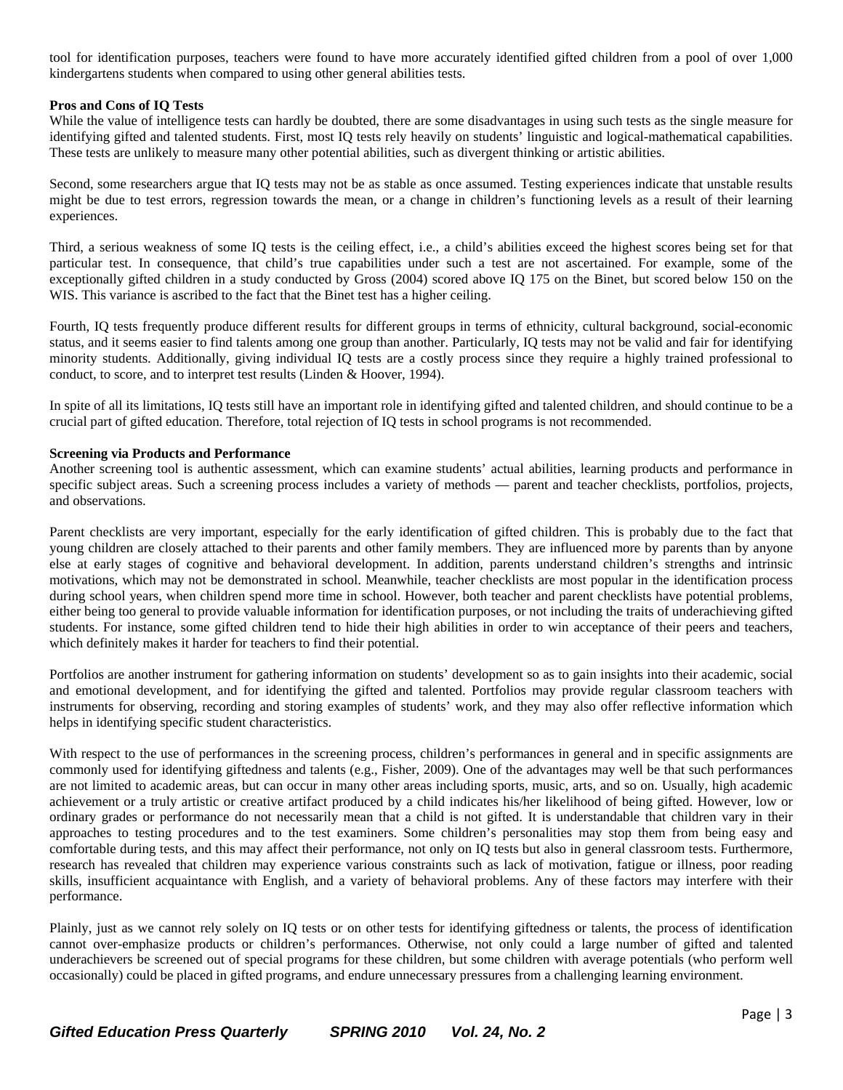tool for identification purposes, teachers were found to have more accurately identified gifted children from a pool of over 1,000 kindergartens students when compared to using other general abilities tests.

#### **Pros and Cons of IQ Tests**

While the value of intelligence tests can hardly be doubted, there are some disadvantages in using such tests as the single measure for identifying gifted and talented students. First, most IQ tests rely heavily on students' linguistic and logical-mathematical capabilities. These tests are unlikely to measure many other potential abilities, such as divergent thinking or artistic abilities.

Second, some researchers argue that IQ tests may not be as stable as once assumed. Testing experiences indicate that unstable results might be due to test errors, regression towards the mean, or a change in children's functioning levels as a result of their learning experiences.

Third, a serious weakness of some IQ tests is the ceiling effect, i.e., a child's abilities exceed the highest scores being set for that particular test. In consequence, that child's true capabilities under such a test are not ascertained. For example, some of the exceptionally gifted children in a study conducted by Gross (2004) scored above IQ 175 on the Binet, but scored below 150 on the WIS. This variance is ascribed to the fact that the Binet test has a higher ceiling.

Fourth, IQ tests frequently produce different results for different groups in terms of ethnicity, cultural background, social-economic status, and it seems easier to find talents among one group than another. Particularly, IQ tests may not be valid and fair for identifying minority students. Additionally, giving individual IQ tests are a costly process since they require a highly trained professional to conduct, to score, and to interpret test results (Linden & Hoover, 1994).

In spite of all its limitations, IQ tests still have an important role in identifying gifted and talented children, and should continue to be a crucial part of gifted education. Therefore, total rejection of IQ tests in school programs is not recommended.

#### **Screening via Products and Performance**

Another screening tool is authentic assessment, which can examine students' actual abilities, learning products and performance in specific subject areas. Such a screening process includes a variety of methods — parent and teacher checklists, portfolios, projects, and observations.

Parent checklists are very important, especially for the early identification of gifted children. This is probably due to the fact that young children are closely attached to their parents and other family members. They are influenced more by parents than by anyone else at early stages of cognitive and behavioral development. In addition, parents understand children's strengths and intrinsic motivations, which may not be demonstrated in school. Meanwhile, teacher checklists are most popular in the identification process during school years, when children spend more time in school. However, both teacher and parent checklists have potential problems, either being too general to provide valuable information for identification purposes, or not including the traits of underachieving gifted students. For instance, some gifted children tend to hide their high abilities in order to win acceptance of their peers and teachers, which definitely makes it harder for teachers to find their potential.

Portfolios are another instrument for gathering information on students' development so as to gain insights into their academic, social and emotional development, and for identifying the gifted and talented. Portfolios may provide regular classroom teachers with instruments for observing, recording and storing examples of students' work, and they may also offer reflective information which helps in identifying specific student characteristics.

With respect to the use of performances in the screening process, children's performances in general and in specific assignments are commonly used for identifying giftedness and talents (e.g., Fisher, 2009). One of the advantages may well be that such performances are not limited to academic areas, but can occur in many other areas including sports, music, arts, and so on. Usually, high academic achievement or a truly artistic or creative artifact produced by a child indicates his/her likelihood of being gifted. However, low or ordinary grades or performance do not necessarily mean that a child is not gifted. It is understandable that children vary in their approaches to testing procedures and to the test examiners. Some children's personalities may stop them from being easy and comfortable during tests, and this may affect their performance, not only on IQ tests but also in general classroom tests. Furthermore, research has revealed that children may experience various constraints such as lack of motivation, fatigue or illness, poor reading skills, insufficient acquaintance with English, and a variety of behavioral problems. Any of these factors may interfere with their performance.

Plainly, just as we cannot rely solely on IQ tests or on other tests for identifying giftedness or talents, the process of identification cannot over-emphasize products or children's performances. Otherwise, not only could a large number of gifted and talented underachievers be screened out of special programs for these children, but some children with average potentials (who perform well occasionally) could be placed in gifted programs, and endure unnecessary pressures from a challenging learning environment.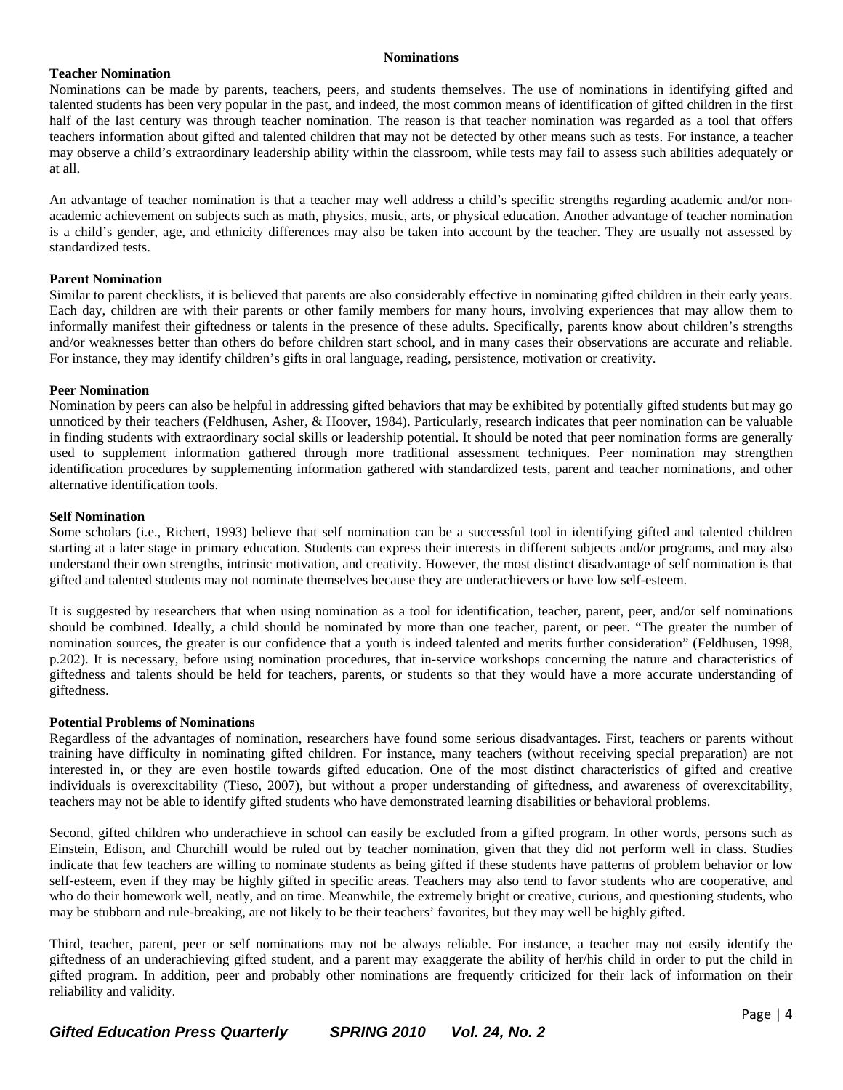#### **Nominations**

#### **Teacher Nomination**

Nominations can be made by parents, teachers, peers, and students themselves. The use of nominations in identifying gifted and talented students has been very popular in the past, and indeed, the most common means of identification of gifted children in the first half of the last century was through teacher nomination. The reason is that teacher nomination was regarded as a tool that offers teachers information about gifted and talented children that may not be detected by other means such as tests. For instance, a teacher may observe a child's extraordinary leadership ability within the classroom, while tests may fail to assess such abilities adequately or at all.

An advantage of teacher nomination is that a teacher may well address a child's specific strengths regarding academic and/or nonacademic achievement on subjects such as math, physics, music, arts, or physical education. Another advantage of teacher nomination is a child's gender, age, and ethnicity differences may also be taken into account by the teacher. They are usually not assessed by standardized tests.

#### **Parent Nomination**

Similar to parent checklists, it is believed that parents are also considerably effective in nominating gifted children in their early years. Each day, children are with their parents or other family members for many hours, involving experiences that may allow them to informally manifest their giftedness or talents in the presence of these adults. Specifically, parents know about children's strengths and/or weaknesses better than others do before children start school, and in many cases their observations are accurate and reliable. For instance, they may identify children's gifts in oral language, reading, persistence, motivation or creativity.

#### **Peer Nomination**

Nomination by peers can also be helpful in addressing gifted behaviors that may be exhibited by potentially gifted students but may go unnoticed by their teachers (Feldhusen, Asher, & Hoover, 1984). Particularly, research indicates that peer nomination can be valuable in finding students with extraordinary social skills or leadership potential. It should be noted that peer nomination forms are generally used to supplement information gathered through more traditional assessment techniques. Peer nomination may strengthen identification procedures by supplementing information gathered with standardized tests, parent and teacher nominations, and other alternative identification tools.

#### **Self Nomination**

Some scholars (i.e., Richert, 1993) believe that self nomination can be a successful tool in identifying gifted and talented children starting at a later stage in primary education. Students can express their interests in different subjects and/or programs, and may also understand their own strengths, intrinsic motivation, and creativity. However, the most distinct disadvantage of self nomination is that gifted and talented students may not nominate themselves because they are underachievers or have low self-esteem.

It is suggested by researchers that when using nomination as a tool for identification, teacher, parent, peer, and/or self nominations should be combined. Ideally, a child should be nominated by more than one teacher, parent, or peer. "The greater the number of nomination sources, the greater is our confidence that a youth is indeed talented and merits further consideration" (Feldhusen, 1998, p.202). It is necessary, before using nomination procedures, that in-service workshops concerning the nature and characteristics of giftedness and talents should be held for teachers, parents, or students so that they would have a more accurate understanding of giftedness.

#### **Potential Problems of Nominations**

Regardless of the advantages of nomination, researchers have found some serious disadvantages. First, teachers or parents without training have difficulty in nominating gifted children. For instance, many teachers (without receiving special preparation) are not interested in, or they are even hostile towards gifted education. One of the most distinct characteristics of gifted and creative individuals is overexcitability (Tieso, 2007), but without a proper understanding of giftedness, and awareness of overexcitability, teachers may not be able to identify gifted students who have demonstrated learning disabilities or behavioral problems.

Second, gifted children who underachieve in school can easily be excluded from a gifted program. In other words, persons such as Einstein, Edison, and Churchill would be ruled out by teacher nomination, given that they did not perform well in class. Studies indicate that few teachers are willing to nominate students as being gifted if these students have patterns of problem behavior or low self-esteem, even if they may be highly gifted in specific areas. Teachers may also tend to favor students who are cooperative, and who do their homework well, neatly, and on time. Meanwhile, the extremely bright or creative, curious, and questioning students, who may be stubborn and rule-breaking, are not likely to be their teachers' favorites, but they may well be highly gifted.

Third, teacher, parent, peer or self nominations may not be always reliable. For instance, a teacher may not easily identify the giftedness of an underachieving gifted student, and a parent may exaggerate the ability of her/his child in order to put the child in gifted program. In addition, peer and probably other nominations are frequently criticized for their lack of information on their reliability and validity.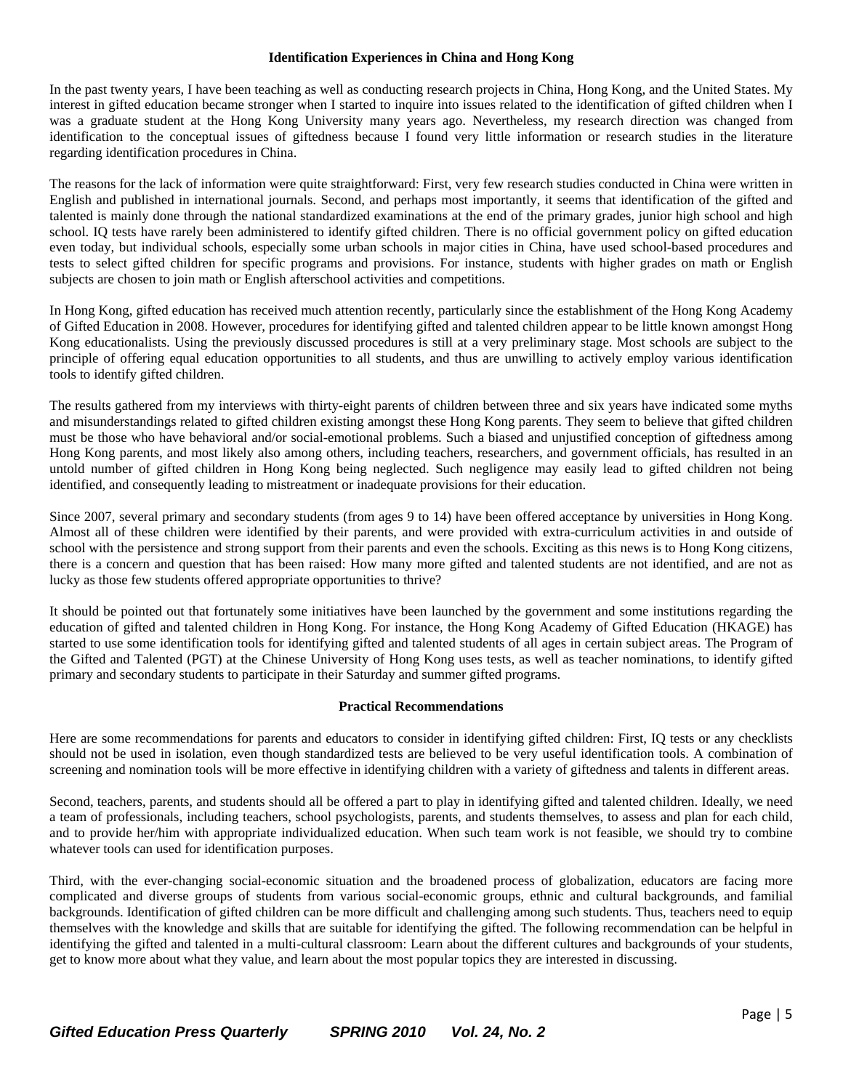#### **Identification Experiences in China and Hong Kong**

In the past twenty years, I have been teaching as well as conducting research projects in China, Hong Kong, and the United States. My interest in gifted education became stronger when I started to inquire into issues related to the identification of gifted children when I was a graduate student at the Hong Kong University many years ago. Nevertheless, my research direction was changed from identification to the conceptual issues of giftedness because I found very little information or research studies in the literature regarding identification procedures in China.

The reasons for the lack of information were quite straightforward: First, very few research studies conducted in China were written in English and published in international journals. Second, and perhaps most importantly, it seems that identification of the gifted and talented is mainly done through the national standardized examinations at the end of the primary grades, junior high school and high school. IQ tests have rarely been administered to identify gifted children. There is no official government policy on gifted education even today, but individual schools, especially some urban schools in major cities in China, have used school-based procedures and tests to select gifted children for specific programs and provisions. For instance, students with higher grades on math or English subjects are chosen to join math or English afterschool activities and competitions.

In Hong Kong, gifted education has received much attention recently, particularly since the establishment of the Hong Kong Academy of Gifted Education in 2008. However, procedures for identifying gifted and talented children appear to be little known amongst Hong Kong educationalists. Using the previously discussed procedures is still at a very preliminary stage. Most schools are subject to the principle of offering equal education opportunities to all students, and thus are unwilling to actively employ various identification tools to identify gifted children.

The results gathered from my interviews with thirty-eight parents of children between three and six years have indicated some myths and misunderstandings related to gifted children existing amongst these Hong Kong parents. They seem to believe that gifted children must be those who have behavioral and/or social-emotional problems. Such a biased and unjustified conception of giftedness among Hong Kong parents, and most likely also among others, including teachers, researchers, and government officials, has resulted in an untold number of gifted children in Hong Kong being neglected. Such negligence may easily lead to gifted children not being identified, and consequently leading to mistreatment or inadequate provisions for their education.

Since 2007, several primary and secondary students (from ages 9 to 14) have been offered acceptance by universities in Hong Kong. Almost all of these children were identified by their parents, and were provided with extra-curriculum activities in and outside of school with the persistence and strong support from their parents and even the schools. Exciting as this news is to Hong Kong citizens, there is a concern and question that has been raised: How many more gifted and talented students are not identified, and are not as lucky as those few students offered appropriate opportunities to thrive?

It should be pointed out that fortunately some initiatives have been launched by the government and some institutions regarding the education of gifted and talented children in Hong Kong. For instance, the Hong Kong Academy of Gifted Education (HKAGE) has started to use some identification tools for identifying gifted and talented students of all ages in certain subject areas. The Program of the Gifted and Talented (PGT) at the Chinese University of Hong Kong uses tests, as well as teacher nominations, to identify gifted primary and secondary students to participate in their Saturday and summer gifted programs.

#### **Practical Recommendations**

Here are some recommendations for parents and educators to consider in identifying gifted children: First, IQ tests or any checklists should not be used in isolation, even though standardized tests are believed to be very useful identification tools. A combination of screening and nomination tools will be more effective in identifying children with a variety of giftedness and talents in different areas.

Second, teachers, parents, and students should all be offered a part to play in identifying gifted and talented children. Ideally, we need a team of professionals, including teachers, school psychologists, parents, and students themselves, to assess and plan for each child, and to provide her/him with appropriate individualized education. When such team work is not feasible, we should try to combine whatever tools can used for identification purposes.

Third, with the ever-changing social-economic situation and the broadened process of globalization, educators are facing more complicated and diverse groups of students from various social-economic groups, ethnic and cultural backgrounds, and familial backgrounds. Identification of gifted children can be more difficult and challenging among such students. Thus, teachers need to equip themselves with the knowledge and skills that are suitable for identifying the gifted. The following recommendation can be helpful in identifying the gifted and talented in a multi-cultural classroom: Learn about the different cultures and backgrounds of your students, get to know more about what they value, and learn about the most popular topics they are interested in discussing.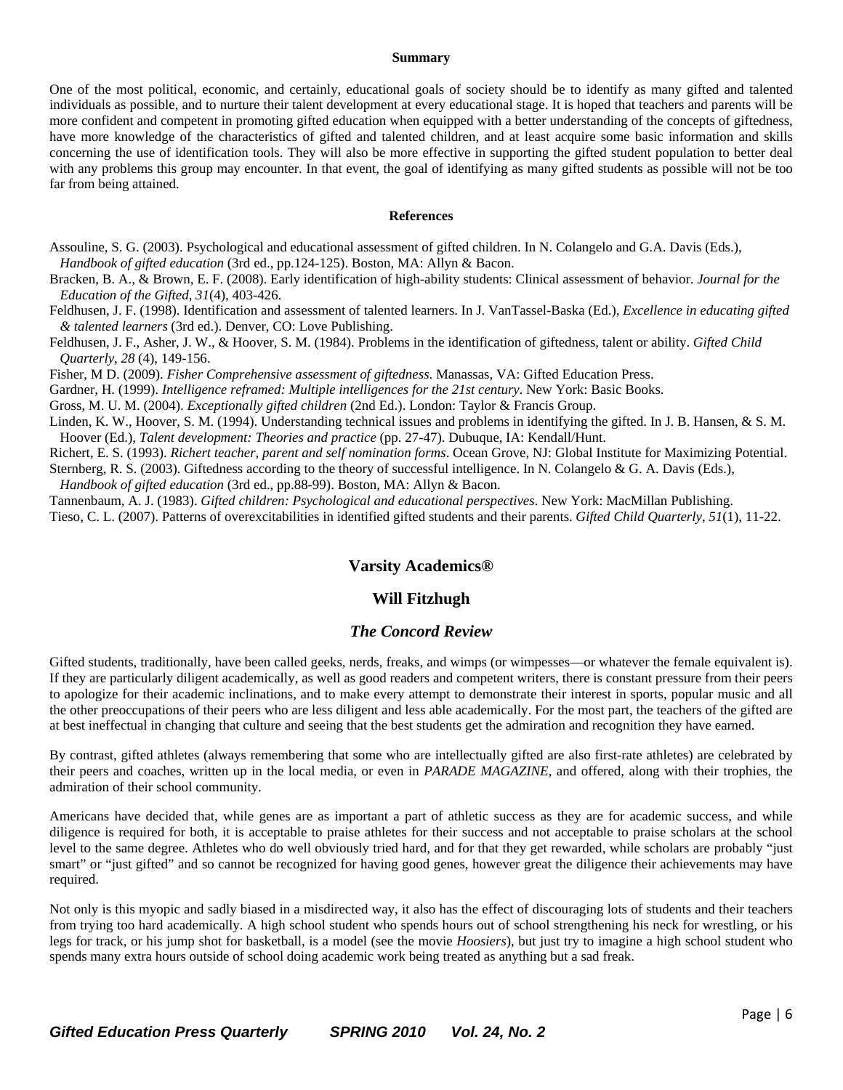#### **Summary**

One of the most political, economic, and certainly, educational goals of society should be to identify as many gifted and talented individuals as possible, and to nurture their talent development at every educational stage. It is hoped that teachers and parents will be more confident and competent in promoting gifted education when equipped with a better understanding of the concepts of giftedness, have more knowledge of the characteristics of gifted and talented children, and at least acquire some basic information and skills concerning the use of identification tools. They will also be more effective in supporting the gifted student population to better deal with any problems this group may encounter. In that event, the goal of identifying as many gifted students as possible will not be too far from being attained.

#### **References**

Assouline, S. G. (2003). Psychological and educational assessment of gifted children. In N. Colangelo and G.A. Davis (Eds.),  *Handbook of gifted education* (3rd ed., pp.124-125). Boston, MA: Allyn & Bacon.

Bracken, B. A., & Brown, E. F. (2008). Early identification of high-ability students: Clinical assessment of behavior. *Journal for the Education of the Gifted*, *31*(4), 403-426.

Feldhusen, J. F. (1998). Identification and assessment of talented learners. In J. VanTassel-Baska (Ed.), *Excellence in educating gifted & talented learners* (3rd ed.). Denver, CO: Love Publishing.

Feldhusen, J. F., Asher, J. W., & Hoover, S. M. (1984). Problems in the identification of giftedness, talent or ability. *Gifted Child Quarterly*, *28* (4), 149-156.

Fisher, M D. (2009). *Fisher Comprehensive assessment of giftedness*. Manassas, VA: Gifted Education Press.

Gardner, H. (1999). *Intelligence reframed: Multiple intelligences for the 21st century*. New York: Basic Books.

Gross, M. U. M. (2004). *Exceptionally gifted children* (2nd Ed.). London: Taylor & Francis Group.

Linden, K. W., Hoover, S. M. (1994). Understanding technical issues and problems in identifying the gifted. In J. B. Hansen, & S. M. Hoover (Ed.), *Talent development: Theories and practice* (pp. 27-47). Dubuque, IA: Kendall/Hunt.

Richert, E. S. (1993). *Richert teacher, parent and self nomination forms*. Ocean Grove, NJ: Global Institute for Maximizing Potential. Sternberg, R. S. (2003). Giftedness according to the theory of successful intelligence. In N. Colangelo & G. A. Davis (Eds.),

 *Handbook of gifted education* (3rd ed., pp.88-99). Boston, MA: Allyn & Bacon.

Tannenbaum, A. J. (1983). *Gifted children: Psychological and educational perspectives*. New York: MacMillan Publishing. Tieso, C. L. (2007). Patterns of overexcitabilities in identified gifted students and their parents. *Gifted Child Quarterly*, *51*(1), 11-22.

### **Varsity Academics®**

## **Will Fitzhugh**

#### *The Concord Review*

Gifted students, traditionally, have been called geeks, nerds, freaks, and wimps (or wimpesses—or whatever the female equivalent is). If they are particularly diligent academically, as well as good readers and competent writers, there is constant pressure from their peers to apologize for their academic inclinations, and to make every attempt to demonstrate their interest in sports, popular music and all the other preoccupations of their peers who are less diligent and less able academically. For the most part, the teachers of the gifted are at best ineffectual in changing that culture and seeing that the best students get the admiration and recognition they have earned.

By contrast, gifted athletes (always remembering that some who are intellectually gifted are also first-rate athletes) are celebrated by their peers and coaches, written up in the local media, or even in *PARADE MAGAZINE*, and offered, along with their trophies, the admiration of their school community.

Americans have decided that, while genes are as important a part of athletic success as they are for academic success, and while diligence is required for both, it is acceptable to praise athletes for their success and not acceptable to praise scholars at the school level to the same degree. Athletes who do well obviously tried hard, and for that they get rewarded, while scholars are probably "just smart" or "just gifted" and so cannot be recognized for having good genes, however great the diligence their achievements may have required.

Not only is this myopic and sadly biased in a misdirected way, it also has the effect of discouraging lots of students and their teachers from trying too hard academically. A high school student who spends hours out of school strengthening his neck for wrestling, or his legs for track, or his jump shot for basketball, is a model (see the movie *Hoosiers*), but just try to imagine a high school student who spends many extra hours outside of school doing academic work being treated as anything but a sad freak.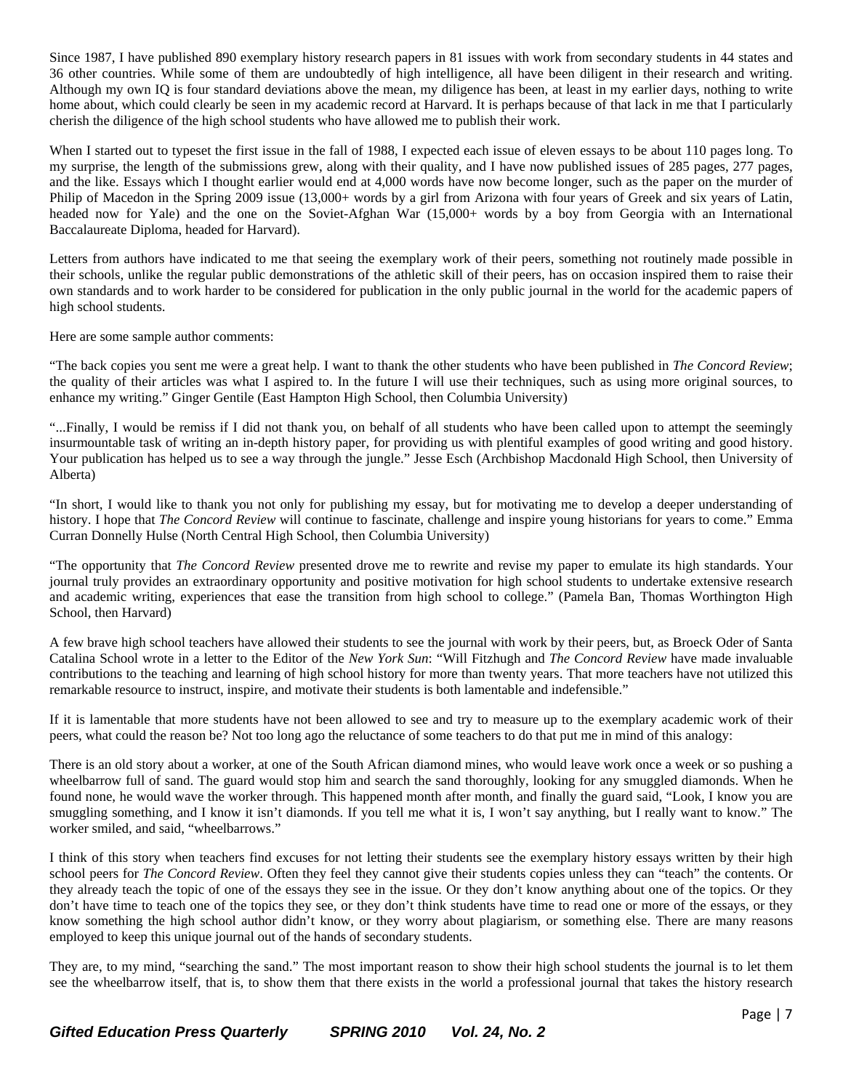Since 1987, I have published 890 exemplary history research papers in 81 issues with work from secondary students in 44 states and 36 other countries. While some of them are undoubtedly of high intelligence, all have been diligent in their research and writing. Although my own IQ is four standard deviations above the mean, my diligence has been, at least in my earlier days, nothing to write home about, which could clearly be seen in my academic record at Harvard. It is perhaps because of that lack in me that I particularly cherish the diligence of the high school students who have allowed me to publish their work.

When I started out to typeset the first issue in the fall of 1988, I expected each issue of eleven essays to be about 110 pages long. To my surprise, the length of the submissions grew, along with their quality, and I have now published issues of 285 pages, 277 pages, and the like. Essays which I thought earlier would end at 4,000 words have now become longer, such as the paper on the murder of Philip of Macedon in the Spring 2009 issue (13,000+ words by a girl from Arizona with four years of Greek and six years of Latin, headed now for Yale) and the one on the Soviet-Afghan War (15,000+ words by a boy from Georgia with an International Baccalaureate Diploma, headed for Harvard).

Letters from authors have indicated to me that seeing the exemplary work of their peers, something not routinely made possible in their schools, unlike the regular public demonstrations of the athletic skill of their peers, has on occasion inspired them to raise their own standards and to work harder to be considered for publication in the only public journal in the world for the academic papers of high school students.

Here are some sample author comments:

"The back copies you sent me were a great help. I want to thank the other students who have been published in *The Concord Review*; the quality of their articles was what I aspired to. In the future I will use their techniques, such as using more original sources, to enhance my writing." Ginger Gentile (East Hampton High School, then Columbia University)

"...Finally, I would be remiss if I did not thank you, on behalf of all students who have been called upon to attempt the seemingly insurmountable task of writing an in-depth history paper, for providing us with plentiful examples of good writing and good history. Your publication has helped us to see a way through the jungle." Jesse Esch (Archbishop Macdonald High School, then University of Alberta)

"In short, I would like to thank you not only for publishing my essay, but for motivating me to develop a deeper understanding of history. I hope that *The Concord Review* will continue to fascinate, challenge and inspire young historians for years to come." Emma Curran Donnelly Hulse (North Central High School, then Columbia University)

"The opportunity that *The Concord Review* presented drove me to rewrite and revise my paper to emulate its high standards. Your journal truly provides an extraordinary opportunity and positive motivation for high school students to undertake extensive research and academic writing, experiences that ease the transition from high school to college." (Pamela Ban, Thomas Worthington High School, then Harvard)

A few brave high school teachers have allowed their students to see the journal with work by their peers, but, as Broeck Oder of Santa Catalina School wrote in a letter to the Editor of the *New York Sun*: "Will Fitzhugh and *The Concord Review* have made invaluable contributions to the teaching and learning of high school history for more than twenty years. That more teachers have not utilized this remarkable resource to instruct, inspire, and motivate their students is both lamentable and indefensible."

If it is lamentable that more students have not been allowed to see and try to measure up to the exemplary academic work of their peers, what could the reason be? Not too long ago the reluctance of some teachers to do that put me in mind of this analogy:

There is an old story about a worker, at one of the South African diamond mines, who would leave work once a week or so pushing a wheelbarrow full of sand. The guard would stop him and search the sand thoroughly, looking for any smuggled diamonds. When he found none, he would wave the worker through. This happened month after month, and finally the guard said, "Look, I know you are smuggling something, and I know it isn't diamonds. If you tell me what it is, I won't say anything, but I really want to know." The worker smiled, and said, "wheelbarrows."

I think of this story when teachers find excuses for not letting their students see the exemplary history essays written by their high school peers for *The Concord Review*. Often they feel they cannot give their students copies unless they can "teach" the contents. Or they already teach the topic of one of the essays they see in the issue. Or they don't know anything about one of the topics. Or they don't have time to teach one of the topics they see, or they don't think students have time to read one or more of the essays, or they know something the high school author didn't know, or they worry about plagiarism, or something else. There are many reasons employed to keep this unique journal out of the hands of secondary students.

They are, to my mind, "searching the sand." The most important reason to show their high school students the journal is to let them see the wheelbarrow itself, that is, to show them that there exists in the world a professional journal that takes the history research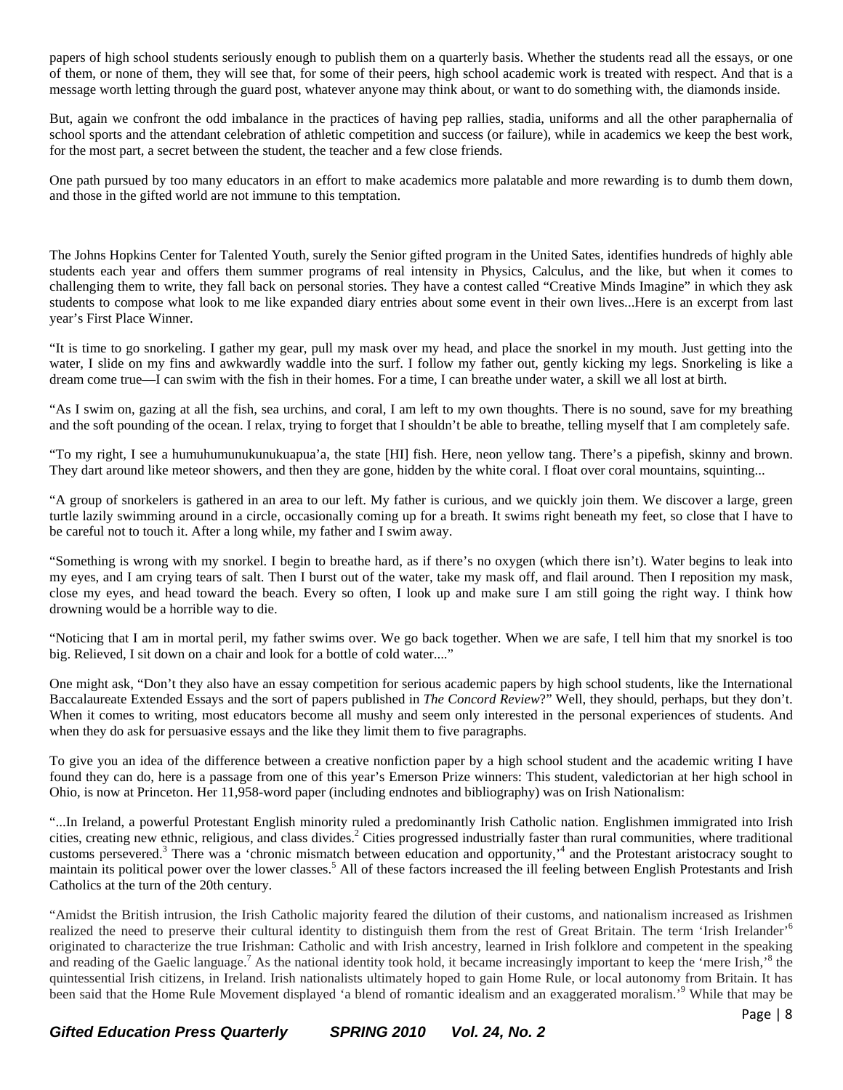papers of high school students seriously enough to publish them on a quarterly basis. Whether the students read all the essays, or one of them, or none of them, they will see that, for some of their peers, high school academic work is treated with respect. And that is a message worth letting through the guard post, whatever anyone may think about, or want to do something with, the diamonds inside.

But, again we confront the odd imbalance in the practices of having pep rallies, stadia, uniforms and all the other paraphernalia of school sports and the attendant celebration of athletic competition and success (or failure), while in academics we keep the best work, for the most part, a secret between the student, the teacher and a few close friends.

One path pursued by too many educators in an effort to make academics more palatable and more rewarding is to dumb them down, and those in the gifted world are not immune to this temptation.

The Johns Hopkins Center for Talented Youth, surely the Senior gifted program in the United Sates, identifies hundreds of highly able students each year and offers them summer programs of real intensity in Physics, Calculus, and the like, but when it comes to challenging them to write, they fall back on personal stories. They have a contest called "Creative Minds Imagine" in which they ask students to compose what look to me like expanded diary entries about some event in their own lives...Here is an excerpt from last year's First Place Winner.

"It is time to go snorkeling. I gather my gear, pull my mask over my head, and place the snorkel in my mouth. Just getting into the water, I slide on my fins and awkwardly waddle into the surf. I follow my father out, gently kicking my legs. Snorkeling is like a dream come true—I can swim with the fish in their homes. For a time, I can breathe under water, a skill we all lost at birth.

"As I swim on, gazing at all the fish, sea urchins, and coral, I am left to my own thoughts. There is no sound, save for my breathing and the soft pounding of the ocean. I relax, trying to forget that I shouldn't be able to breathe, telling myself that I am completely safe.

"To my right, I see a humuhumunukunukuapua'a, the state [HI] fish. Here, neon yellow tang. There's a pipefish, skinny and brown. They dart around like meteor showers, and then they are gone, hidden by the white coral. I float over coral mountains, squinting...

"A group of snorkelers is gathered in an area to our left. My father is curious, and we quickly join them. We discover a large, green turtle lazily swimming around in a circle, occasionally coming up for a breath. It swims right beneath my feet, so close that I have to be careful not to touch it. After a long while, my father and I swim away.

"Something is wrong with my snorkel. I begin to breathe hard, as if there's no oxygen (which there isn't). Water begins to leak into my eyes, and I am crying tears of salt. Then I burst out of the water, take my mask off, and flail around. Then I reposition my mask, close my eyes, and head toward the beach. Every so often, I look up and make sure I am still going the right way. I think how drowning would be a horrible way to die.

"Noticing that I am in mortal peril, my father swims over. We go back together. When we are safe, I tell him that my snorkel is too big. Relieved, I sit down on a chair and look for a bottle of cold water...."

One might ask, "Don't they also have an essay competition for serious academic papers by high school students, like the International Baccalaureate Extended Essays and the sort of papers published in *The Concord Review*?" Well, they should, perhaps, but they don't. When it comes to writing, most educators become all mushy and seem only interested in the personal experiences of students. And when they do ask for persuasive essays and the like they limit them to five paragraphs.

To give you an idea of the difference between a creative nonfiction paper by a high school student and the academic writing I have found they can do, here is a passage from one of this year's Emerson Prize winners: This student, valedictorian at her high school in Ohio, is now at Princeton. Her 11,958-word paper (including endnotes and bibliography) was on Irish Nationalism:

"...In Ireland, a powerful Protestant English minority ruled a predominantly Irish Catholic nation. Englishmen immigrated into Irish cities, creating new ethnic, religious, and class divides.<sup>2</sup> Cities progressed industrially faster than rural communities, where traditional customs persevered.<sup>3</sup> There was a 'chronic mismatch between education and opportunity,<sup>14</sup> and the Protestant aristocracy sought to maintain its political power over the lower classes.<sup>5</sup> All of these factors increased the ill feeling between English Protestants and Irish Catholics at the turn of the 20th century.

"Amidst the British intrusion, the Irish Catholic majority feared the dilution of their customs, and nationalism increased as Irishmen realized the need to preserve their cultural identity to distinguish them from the rest of Great Britain. The term 'Irish Irelander'<sup>6</sup> originated to characterize the true Irishman: Catholic and with Irish ancestry, learned in Irish folklore and competent in the speaking and reading of the Gaelic language.<sup>7</sup> As the national identity took hold, it became increasingly important to keep the 'mere Irish,'<sup>8</sup> the quintessential Irish citizens, in Ireland. Irish nationalists ultimately hoped to gain Home Rule, or local autonomy from Britain. It has been said that the Home Rule Movement displayed 'a blend of romantic idealism and an exaggerated moralism.<sup>'9</sup> While that may be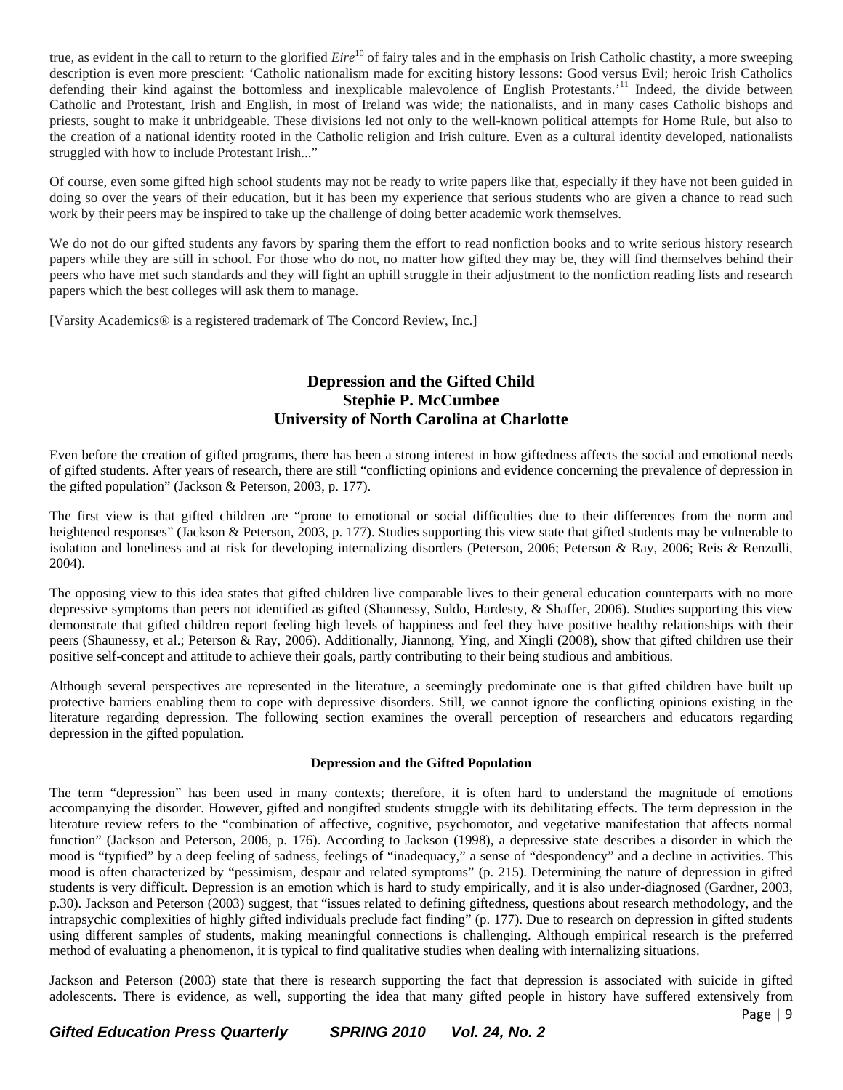true, as evident in the call to return to the glorified *Eire*<sup>10</sup> of fairy tales and in the emphasis on Irish Catholic chastity, a more sweeping description is even more prescient: 'Catholic nationalism made for exciting history lessons: Good versus Evil; heroic Irish Catholics defending their kind against the bottomless and inexplicable malevolence of English Protestants.<sup>'11</sup> Indeed, the divide between Catholic and Protestant, Irish and English, in most of Ireland was wide; the nationalists, and in many cases Catholic bishops and priests, sought to make it unbridgeable. These divisions led not only to the well-known political attempts for Home Rule, but also to the creation of a national identity rooted in the Catholic religion and Irish culture. Even as a cultural identity developed, nationalists struggled with how to include Protestant Irish..."

Of course, even some gifted high school students may not be ready to write papers like that, especially if they have not been guided in doing so over the years of their education, but it has been my experience that serious students who are given a chance to read such work by their peers may be inspired to take up the challenge of doing better academic work themselves.

We do not do our gifted students any favors by sparing them the effort to read nonfiction books and to write serious history research papers while they are still in school. For those who do not, no matter how gifted they may be, they will find themselves behind their peers who have met such standards and they will fight an uphill struggle in their adjustment to the nonfiction reading lists and research papers which the best colleges will ask them to manage.

[Varsity Academics® is a registered trademark of The Concord Review, Inc.]

# **Depression and the Gifted Child Stephie P. McCumbee University of North Carolina at Charlotte**

Even before the creation of gifted programs, there has been a strong interest in how giftedness affects the social and emotional needs of gifted students. After years of research, there are still "conflicting opinions and evidence concerning the prevalence of depression in the gifted population" (Jackson & Peterson, 2003, p. 177).

The first view is that gifted children are "prone to emotional or social difficulties due to their differences from the norm and heightened responses" (Jackson & Peterson, 2003, p. 177). Studies supporting this view state that gifted students may be vulnerable to isolation and loneliness and at risk for developing internalizing disorders (Peterson, 2006; Peterson & Ray, 2006; Reis & Renzulli, 2004).

The opposing view to this idea states that gifted children live comparable lives to their general education counterparts with no more depressive symptoms than peers not identified as gifted (Shaunessy, Suldo, Hardesty, & Shaffer, 2006). Studies supporting this view demonstrate that gifted children report feeling high levels of happiness and feel they have positive healthy relationships with their peers (Shaunessy, et al.; Peterson & Ray, 2006). Additionally, Jiannong, Ying, and Xingli (2008), show that gifted children use their positive self-concept and attitude to achieve their goals, partly contributing to their being studious and ambitious.

Although several perspectives are represented in the literature, a seemingly predominate one is that gifted children have built up protective barriers enabling them to cope with depressive disorders. Still, we cannot ignore the conflicting opinions existing in the literature regarding depression. The following section examines the overall perception of researchers and educators regarding depression in the gifted population.

#### **Depression and the Gifted Population**

The term "depression" has been used in many contexts; therefore, it is often hard to understand the magnitude of emotions accompanying the disorder. However, gifted and nongifted students struggle with its debilitating effects. The term depression in the literature review refers to the "combination of affective, cognitive, psychomotor, and vegetative manifestation that affects normal function" (Jackson and Peterson, 2006, p. 176). According to Jackson (1998), a depressive state describes a disorder in which the mood is "typified" by a deep feeling of sadness, feelings of "inadequacy," a sense of "despondency" and a decline in activities. This mood is often characterized by "pessimism, despair and related symptoms" (p. 215). Determining the nature of depression in gifted students is very difficult. Depression is an emotion which is hard to study empirically, and it is also under-diagnosed (Gardner, 2003, p.30). Jackson and Peterson (2003) suggest, that "issues related to defining giftedness, questions about research methodology, and the intrapsychic complexities of highly gifted individuals preclude fact finding" (p. 177). Due to research on depression in gifted students using different samples of students, making meaningful connections is challenging. Although empirical research is the preferred method of evaluating a phenomenon, it is typical to find qualitative studies when dealing with internalizing situations.

Page | 9 Jackson and Peterson (2003) state that there is research supporting the fact that depression is associated with suicide in gifted adolescents. There is evidence, as well, supporting the idea that many gifted people in history have suffered extensively from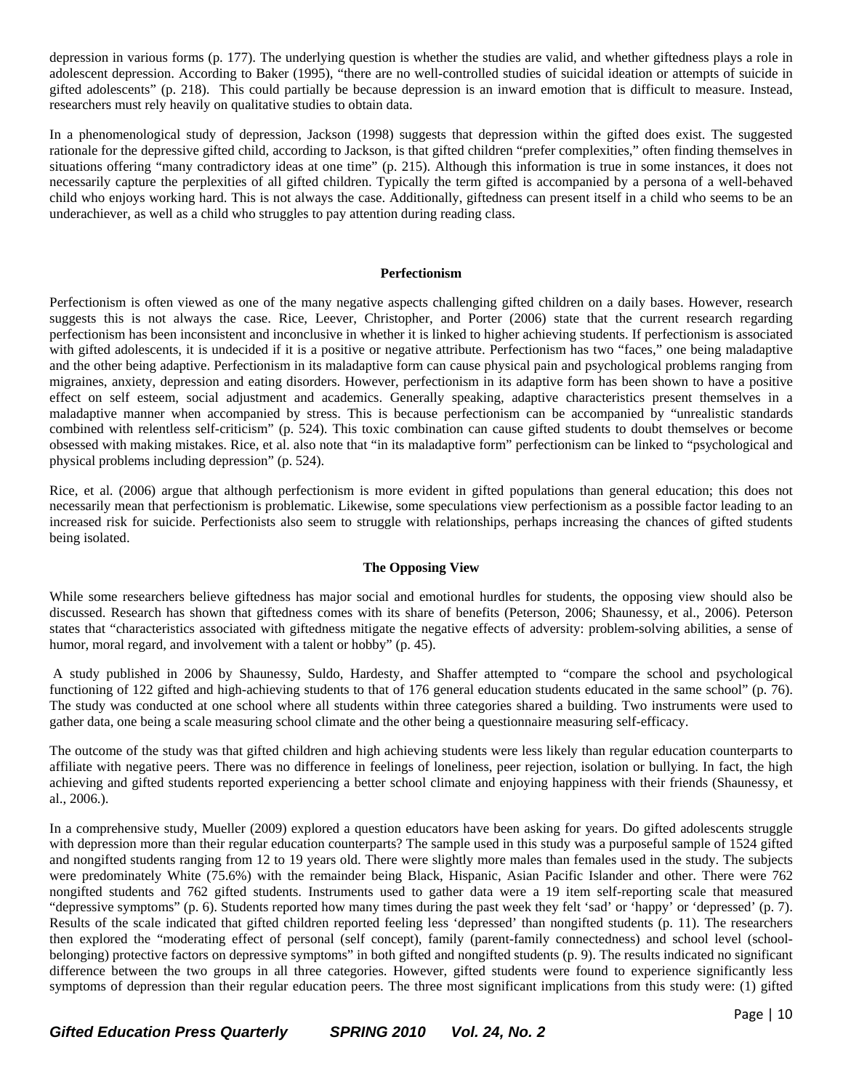depression in various forms (p. 177). The underlying question is whether the studies are valid, and whether giftedness plays a role in adolescent depression. According to Baker (1995), "there are no well-controlled studies of suicidal ideation or attempts of suicide in gifted adolescents" (p. 218). This could partially be because depression is an inward emotion that is difficult to measure. Instead, researchers must rely heavily on qualitative studies to obtain data.

In a phenomenological study of depression, Jackson (1998) suggests that depression within the gifted does exist. The suggested rationale for the depressive gifted child, according to Jackson, is that gifted children "prefer complexities," often finding themselves in situations offering "many contradictory ideas at one time" (p. 215). Although this information is true in some instances, it does not necessarily capture the perplexities of all gifted children. Typically the term gifted is accompanied by a persona of a well-behaved child who enjoys working hard. This is not always the case. Additionally, giftedness can present itself in a child who seems to be an underachiever, as well as a child who struggles to pay attention during reading class.

#### **Perfectionism**

Perfectionism is often viewed as one of the many negative aspects challenging gifted children on a daily bases. However, research suggests this is not always the case. Rice, Leever, Christopher, and Porter (2006) state that the current research regarding perfectionism has been inconsistent and inconclusive in whether it is linked to higher achieving students. If perfectionism is associated with gifted adolescents, it is undecided if it is a positive or negative attribute. Perfectionism has two "faces," one being maladaptive and the other being adaptive. Perfectionism in its maladaptive form can cause physical pain and psychological problems ranging from migraines, anxiety, depression and eating disorders. However, perfectionism in its adaptive form has been shown to have a positive effect on self esteem, social adjustment and academics. Generally speaking, adaptive characteristics present themselves in a maladaptive manner when accompanied by stress. This is because perfectionism can be accompanied by "unrealistic standards combined with relentless self-criticism" (p. 524). This toxic combination can cause gifted students to doubt themselves or become obsessed with making mistakes. Rice, et al. also note that "in its maladaptive form" perfectionism can be linked to "psychological and physical problems including depression" (p. 524).

Rice, et al. (2006) argue that although perfectionism is more evident in gifted populations than general education; this does not necessarily mean that perfectionism is problematic. Likewise, some speculations view perfectionism as a possible factor leading to an increased risk for suicide. Perfectionists also seem to struggle with relationships, perhaps increasing the chances of gifted students being isolated.

#### **The Opposing View**

While some researchers believe giftedness has major social and emotional hurdles for students, the opposing view should also be discussed. Research has shown that giftedness comes with its share of benefits (Peterson, 2006; Shaunessy, et al., 2006). Peterson states that "characteristics associated with giftedness mitigate the negative effects of adversity: problem-solving abilities, a sense of humor, moral regard, and involvement with a talent or hobby" (p. 45).

 A study published in 2006 by Shaunessy, Suldo, Hardesty, and Shaffer attempted to "compare the school and psychological functioning of 122 gifted and high-achieving students to that of 176 general education students educated in the same school" (p. 76). The study was conducted at one school where all students within three categories shared a building. Two instruments were used to gather data, one being a scale measuring school climate and the other being a questionnaire measuring self-efficacy.

The outcome of the study was that gifted children and high achieving students were less likely than regular education counterparts to affiliate with negative peers. There was no difference in feelings of loneliness, peer rejection, isolation or bullying. In fact, the high achieving and gifted students reported experiencing a better school climate and enjoying happiness with their friends (Shaunessy, et al., 2006.).

In a comprehensive study, Mueller (2009) explored a question educators have been asking for years. Do gifted adolescents struggle with depression more than their regular education counterparts? The sample used in this study was a purposeful sample of 1524 gifted and nongifted students ranging from 12 to 19 years old. There were slightly more males than females used in the study. The subjects were predominately White (75.6%) with the remainder being Black, Hispanic, Asian Pacific Islander and other. There were 762 nongifted students and 762 gifted students. Instruments used to gather data were a 19 item self-reporting scale that measured "depressive symptoms" (p. 6). Students reported how many times during the past week they felt 'sad' or 'happy' or 'depressed' (p. 7). Results of the scale indicated that gifted children reported feeling less 'depressed' than nongifted students (p. 11). The researchers then explored the "moderating effect of personal (self concept), family (parent-family connectedness) and school level (schoolbelonging) protective factors on depressive symptoms" in both gifted and nongifted students (p. 9). The results indicated no significant difference between the two groups in all three categories. However, gifted students were found to experience significantly less symptoms of depression than their regular education peers. The three most significant implications from this study were: (1) gifted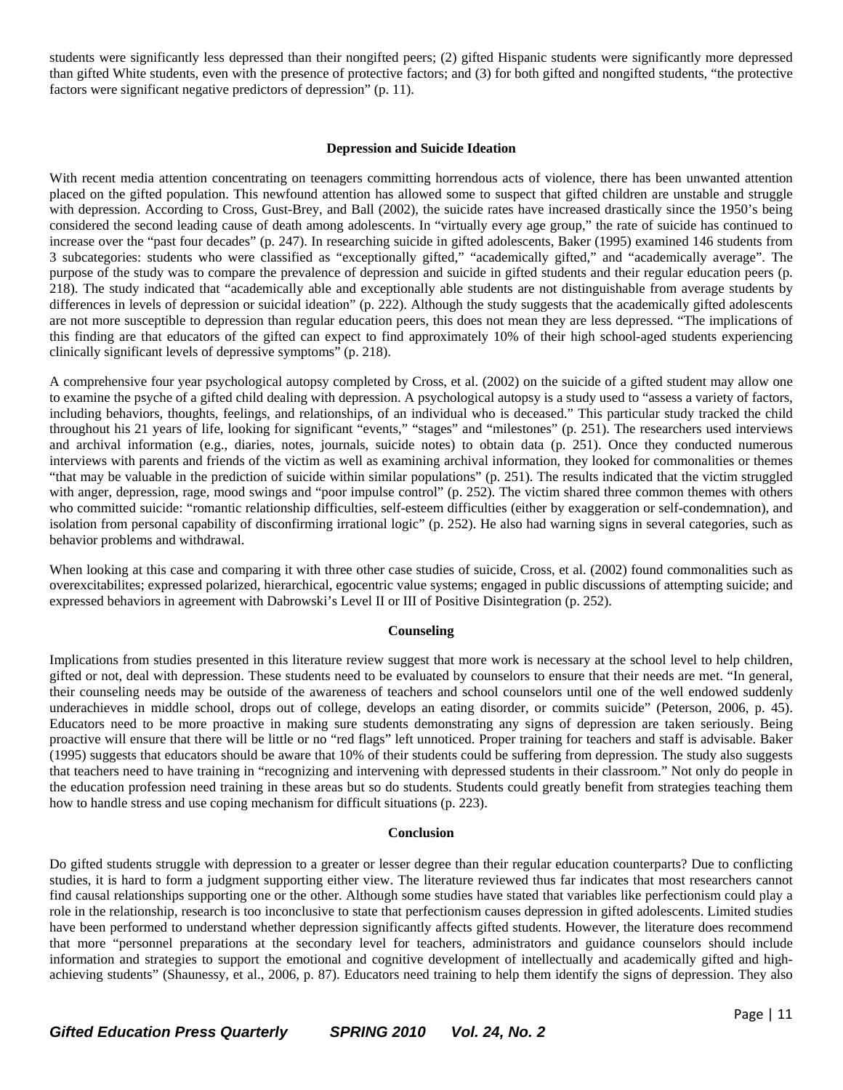students were significantly less depressed than their nongifted peers; (2) gifted Hispanic students were significantly more depressed than gifted White students, even with the presence of protective factors; and (3) for both gifted and nongifted students, "the protective factors were significant negative predictors of depression" (p. 11).

#### **Depression and Suicide Ideation**

With recent media attention concentrating on teenagers committing horrendous acts of violence, there has been unwanted attention placed on the gifted population. This newfound attention has allowed some to suspect that gifted children are unstable and struggle with depression. According to Cross, Gust-Brey, and Ball (2002), the suicide rates have increased drastically since the 1950's being considered the second leading cause of death among adolescents. In "virtually every age group," the rate of suicide has continued to increase over the "past four decades" (p. 247). In researching suicide in gifted adolescents, Baker (1995) examined 146 students from 3 subcategories: students who were classified as "exceptionally gifted," "academically gifted," and "academically average". The purpose of the study was to compare the prevalence of depression and suicide in gifted students and their regular education peers (p. 218). The study indicated that "academically able and exceptionally able students are not distinguishable from average students by differences in levels of depression or suicidal ideation" (p. 222). Although the study suggests that the academically gifted adolescents are not more susceptible to depression than regular education peers, this does not mean they are less depressed. "The implications of this finding are that educators of the gifted can expect to find approximately 10% of their high school-aged students experiencing clinically significant levels of depressive symptoms" (p. 218).

A comprehensive four year psychological autopsy completed by Cross, et al. (2002) on the suicide of a gifted student may allow one to examine the psyche of a gifted child dealing with depression. A psychological autopsy is a study used to "assess a variety of factors, including behaviors, thoughts, feelings, and relationships, of an individual who is deceased." This particular study tracked the child throughout his 21 years of life, looking for significant "events," "stages" and "milestones" (p. 251). The researchers used interviews and archival information (e.g., diaries, notes, journals, suicide notes) to obtain data (p. 251). Once they conducted numerous interviews with parents and friends of the victim as well as examining archival information, they looked for commonalities or themes "that may be valuable in the prediction of suicide within similar populations" (p. 251). The results indicated that the victim struggled with anger, depression, rage, mood swings and "poor impulse control" (p. 252). The victim shared three common themes with others who committed suicide: "romantic relationship difficulties, self-esteem difficulties (either by exaggeration or self-condemnation), and isolation from personal capability of disconfirming irrational logic" (p. 252). He also had warning signs in several categories, such as behavior problems and withdrawal.

When looking at this case and comparing it with three other case studies of suicide, Cross, et al. (2002) found commonalities such as overexcitabilites; expressed polarized, hierarchical, egocentric value systems; engaged in public discussions of attempting suicide; and expressed behaviors in agreement with Dabrowski's Level II or III of Positive Disintegration (p. 252).

#### **Counseling**

Implications from studies presented in this literature review suggest that more work is necessary at the school level to help children, gifted or not, deal with depression. These students need to be evaluated by counselors to ensure that their needs are met. "In general, their counseling needs may be outside of the awareness of teachers and school counselors until one of the well endowed suddenly underachieves in middle school, drops out of college, develops an eating disorder, or commits suicide" (Peterson, 2006, p. 45). Educators need to be more proactive in making sure students demonstrating any signs of depression are taken seriously. Being proactive will ensure that there will be little or no "red flags" left unnoticed. Proper training for teachers and staff is advisable. Baker (1995) suggests that educators should be aware that 10% of their students could be suffering from depression. The study also suggests that teachers need to have training in "recognizing and intervening with depressed students in their classroom." Not only do people in the education profession need training in these areas but so do students. Students could greatly benefit from strategies teaching them how to handle stress and use coping mechanism for difficult situations (p. 223).

#### **Conclusion**

Do gifted students struggle with depression to a greater or lesser degree than their regular education counterparts? Due to conflicting studies, it is hard to form a judgment supporting either view. The literature reviewed thus far indicates that most researchers cannot find causal relationships supporting one or the other. Although some studies have stated that variables like perfectionism could play a role in the relationship, research is too inconclusive to state that perfectionism causes depression in gifted adolescents. Limited studies have been performed to understand whether depression significantly affects gifted students. However, the literature does recommend that more "personnel preparations at the secondary level for teachers, administrators and guidance counselors should include information and strategies to support the emotional and cognitive development of intellectually and academically gifted and highachieving students" (Shaunessy, et al., 2006, p. 87). Educators need training to help them identify the signs of depression. They also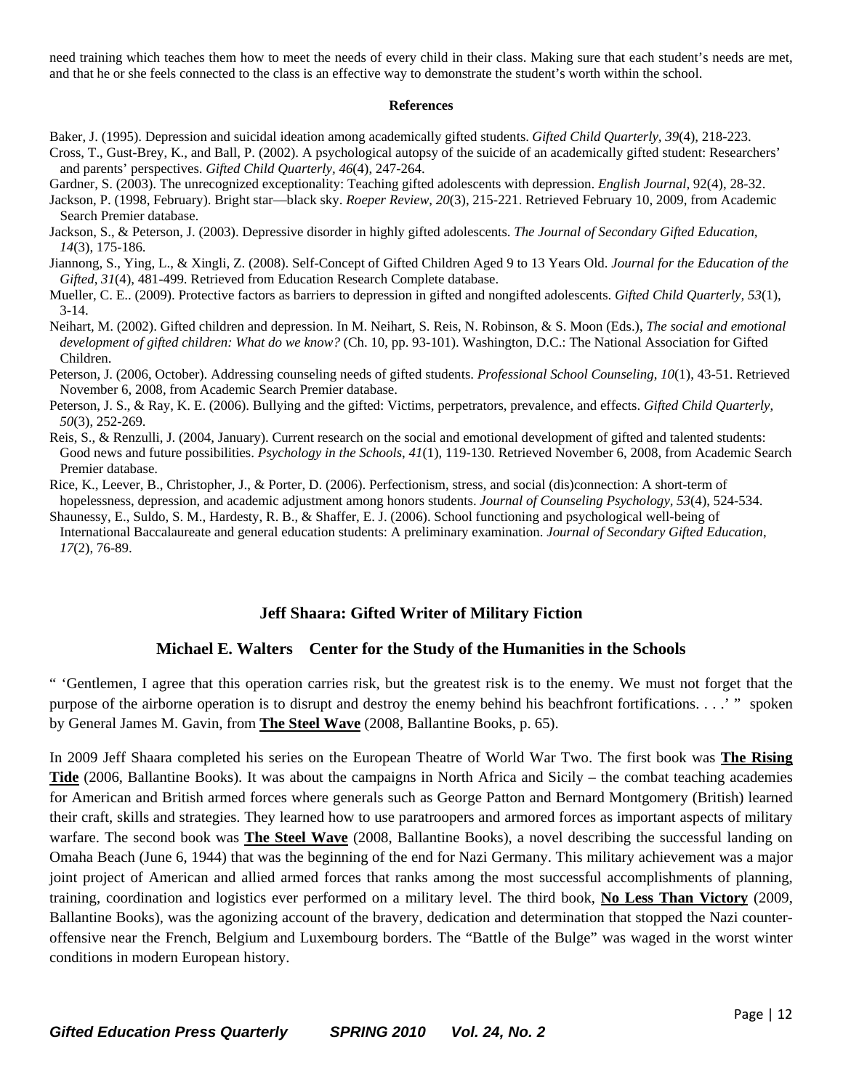need training which teaches them how to meet the needs of every child in their class. Making sure that each student's needs are met, and that he or she feels connected to the class is an effective way to demonstrate the student's worth within the school.

#### **References**

- Baker, J. (1995). Depression and suicidal ideation among academically gifted students. *Gifted Child Quarterly, 39*(4), 218-223. Cross, T., Gust-Brey, K., and Ball, P. (2002). A psychological autopsy of the suicide of an academically gifted student: Researchers' and parents' perspectives. *Gifted Child Quarterly, 46*(4), 247-264.
- Gardner, S. (2003). The unrecognized exceptionality: Teaching gifted adolescents with depression. *English Journal*, 92(4), 28-32.
- Jackson, P. (1998, February). Bright star—black sky. *Roeper Review*, *20*(3), 215-221. Retrieved February 10, 2009, from Academic Search Premier database.
- Jackson, S., & Peterson, J. (2003). Depressive disorder in highly gifted adolescents. *The Journal of Secondary Gifted Education, 14*(3), 175-186.
- Jiannong, S., Ying, L., & Xingli, Z. (2008). Self-Concept of Gifted Children Aged 9 to 13 Years Old. *Journal for the Education of the Gifted*, *31*(4), 481-499. Retrieved from Education Research Complete database.
- Mueller, C. E.. (2009). Protective factors as barriers to depression in gifted and nongifted adolescents. *Gifted Child Quarterly, 53*(1), 3-14.
- Neihart, M. (2002). Gifted children and depression. In M. Neihart, S. Reis, N. Robinson, & S. Moon (Eds.), *The social and emotional development of gifted children: What do we know?* (Ch. 10, pp. 93-101). Washington, D.C.: The National Association for Gifted Children.
- Peterson, J. (2006, October). Addressing counseling needs of gifted students. *Professional School Counseling*, *10*(1), 43-51. Retrieved November 6, 2008, from Academic Search Premier database.
- Peterson, J. S., & Ray, K. E. (2006). Bullying and the gifted: Victims, perpetrators, prevalence, and effects. *Gifted Child Quarterly*, *50*(3), 252-269.
- Reis, S., & Renzulli, J. (2004, January). Current research on the social and emotional development of gifted and talented students: Good news and future possibilities. *Psychology in the Schools*, *41*(1), 119-130. Retrieved November 6, 2008, from Academic Search Premier database.
- Rice, K., Leever, B., Christopher, J., & Porter, D. (2006). Perfectionism, stress, and social (dis)connection: A short-term of hopelessness, depression, and academic adjustment among honors students. *Journal of Counseling Psychology, 53*(4), 524-534.
- Shaunessy, E., Suldo, S. M., Hardesty, R. B., & Shaffer, E. J. (2006). School functioning and psychological well-being of International Baccalaureate and general education students: A preliminary examination. *Journal of Secondary Gifted Education*,  *17*(2), 76-89.

# **Jeff Shaara: Gifted Writer of Military Fiction**

# **Michael E. Walters Center for the Study of the Humanities in the Schools**

" 'Gentlemen, I agree that this operation carries risk, but the greatest risk is to the enemy. We must not forget that the purpose of the airborne operation is to disrupt and destroy the enemy behind his beachfront fortifications. . . .' " spoken by General James M. Gavin, from **The Steel Wave** (2008, Ballantine Books, p. 65).

In 2009 Jeff Shaara completed his series on the European Theatre of World War Two. The first book was **The Rising Tide** (2006, Ballantine Books). It was about the campaigns in North Africa and Sicily – the combat teaching academies for American and British armed forces where generals such as George Patton and Bernard Montgomery (British) learned their craft, skills and strategies. They learned how to use paratroopers and armored forces as important aspects of military warfare. The second book was **The Steel Wave** (2008, Ballantine Books), a novel describing the successful landing on Omaha Beach (June 6, 1944) that was the beginning of the end for Nazi Germany. This military achievement was a major joint project of American and allied armed forces that ranks among the most successful accomplishments of planning, training, coordination and logistics ever performed on a military level. The third book, **No Less Than Victory** (2009, Ballantine Books), was the agonizing account of the bravery, dedication and determination that stopped the Nazi counteroffensive near the French, Belgium and Luxembourg borders. The "Battle of the Bulge" was waged in the worst winter conditions in modern European history.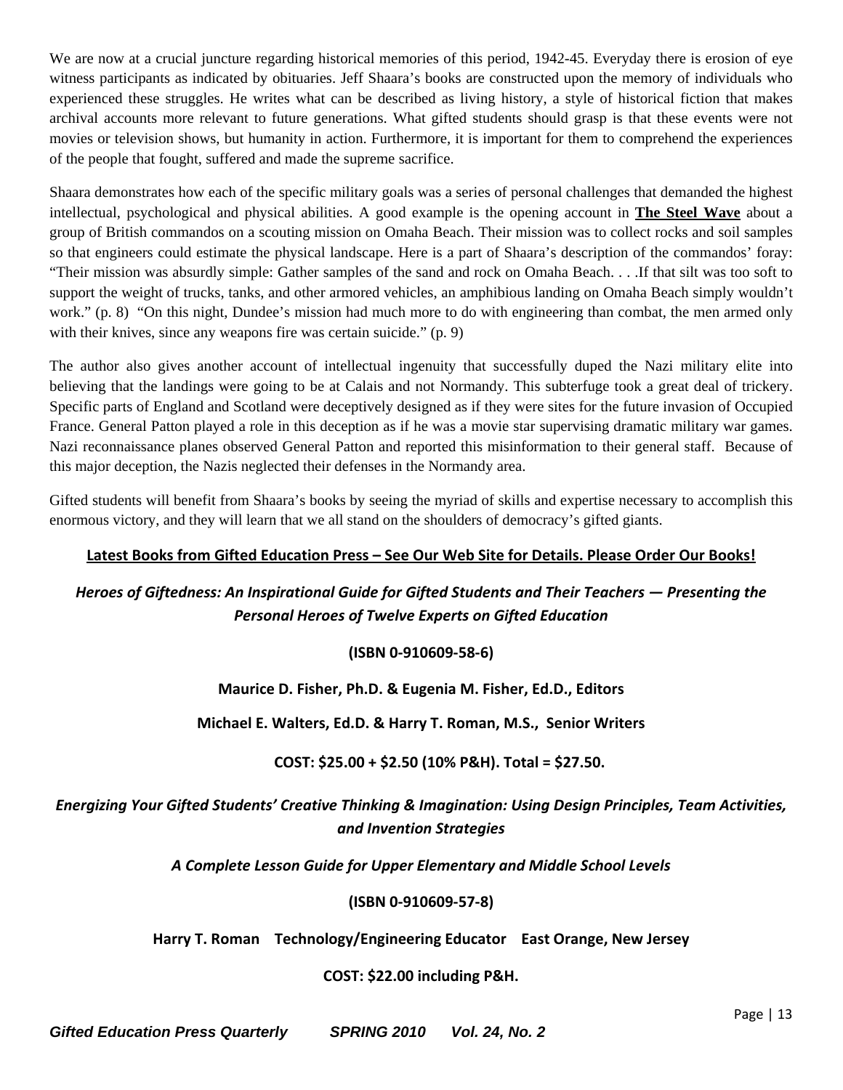We are now at a crucial juncture regarding historical memories of this period, 1942-45. Everyday there is erosion of eye witness participants as indicated by obituaries. Jeff Shaara's books are constructed upon the memory of individuals who experienced these struggles. He writes what can be described as living history, a style of historical fiction that makes archival accounts more relevant to future generations. What gifted students should grasp is that these events were not movies or television shows, but humanity in action. Furthermore, it is important for them to comprehend the experiences of the people that fought, suffered and made the supreme sacrifice.

Shaara demonstrates how each of the specific military goals was a series of personal challenges that demanded the highest intellectual, psychological and physical abilities. A good example is the opening account in **The Steel Wave** about a group of British commandos on a scouting mission on Omaha Beach. Their mission was to collect rocks and soil samples so that engineers could estimate the physical landscape. Here is a part of Shaara's description of the commandos' foray: "Their mission was absurdly simple: Gather samples of the sand and rock on Omaha Beach. . . .If that silt was too soft to support the weight of trucks, tanks, and other armored vehicles, an amphibious landing on Omaha Beach simply wouldn't work." (p. 8) "On this night, Dundee's mission had much more to do with engineering than combat, the men armed only with their knives, since any weapons fire was certain suicide." (p. 9)

The author also gives another account of intellectual ingenuity that successfully duped the Nazi military elite into believing that the landings were going to be at Calais and not Normandy. This subterfuge took a great deal of trickery. Specific parts of England and Scotland were deceptively designed as if they were sites for the future invasion of Occupied France. General Patton played a role in this deception as if he was a movie star supervising dramatic military war games. Nazi reconnaissance planes observed General Patton and reported this misinformation to their general staff. Because of this major deception, the Nazis neglected their defenses in the Normandy area.

Gifted students will benefit from Shaara's books by seeing the myriad of skills and expertise necessary to accomplish this enormous victory, and they will learn that we all stand on the shoulders of democracy's gifted giants.

# **Latest Books from Gifted Education Press – See Our Web Site for Details. Please Order Our Books!**

# *Heroes of Giftedness: An Inspirational Guide for Gifted Students and Their Teachers — Presenting the Personal Heroes of Twelve Experts on Gifted Education*

**(ISBN 0‐910609‐58‐6)**

**Maurice D. Fisher, Ph.D. & Eugenia M. Fisher, Ed.D., Editors**

**Michael E. Walters, Ed.D. & Harry T. Roman, M.S., Senior Writers**

# **COST: \$25.00 + \$2.50 (10% P&H). Total = \$27.50.**

# *Energizing Your Gifted Students' Creative Thinking & Imagination: Using Design Principles, Team Activities, and Invention Strategies*

*A Complete Lesson Guide for Upper Elementary and Middle School Levels*

# **(ISBN 0‐910609‐57‐8)**

**Harry T. Roman Technology/Engineering Educator East Orange, New Jersey**

# **COST: \$22.00 including P&H.**